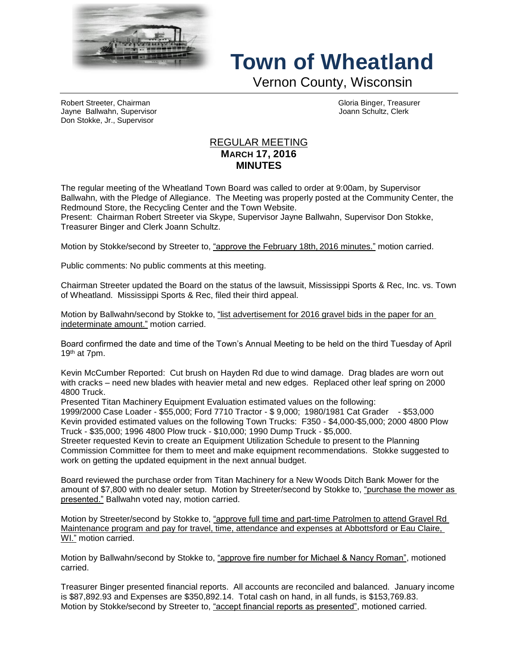

## **Town of Wheatland**

Vernon County, Wisconsin

Robert Streeter, Chairman Gloria Binger, Treasurer Jayne Ballwahn, Supervisor Joann Schultz, Clerk Don Stokke, Jr., Supervisor

## REGULAR MEETING **MARCH 17, 2016 MINUTES**

The regular meeting of the Wheatland Town Board was called to order at 9:00am, by Supervisor Ballwahn, with the Pledge of Allegiance. The Meeting was properly posted at the Community Center, the Redmound Store, the Recycling Center and the Town Website.

Present: Chairman Robert Streeter via Skype, Supervisor Jayne Ballwahn, Supervisor Don Stokke, Treasurer Binger and Clerk Joann Schultz.

Motion by Stokke/second by Streeter to, "approve the February 18th, 2016 minutes." motion carried.

Public comments: No public comments at this meeting.

Chairman Streeter updated the Board on the status of the lawsuit, Mississippi Sports & Rec, Inc. vs. Town of Wheatland. Mississippi Sports & Rec, filed their third appeal.

Motion by Ballwahn/second by Stokke to, "list advertisement for 2016 gravel bids in the paper for an indeterminate amount." motion carried.

Board confirmed the date and time of the Town's Annual Meeting to be held on the third Tuesday of April 19th at 7pm.

Kevin McCumber Reported: Cut brush on Hayden Rd due to wind damage. Drag blades are worn out with cracks – need new blades with heavier metal and new edges. Replaced other leaf spring on 2000 4800 Truck.

Presented Titan Machinery Equipment Evaluation estimated values on the following:

1999/2000 Case Loader - \$55,000; Ford 7710 Tractor - \$ 9,000; 1980/1981 Cat Grader - \$53,000 Kevin provided estimated values on the following Town Trucks: F350 - \$4,000-\$5,000; 2000 4800 Plow Truck - \$35,000; 1996 4800 Plow truck - \$10,000; 1990 Dump Truck - \$5,000.

Streeter requested Kevin to create an Equipment Utilization Schedule to present to the Planning Commission Committee for them to meet and make equipment recommendations. Stokke suggested to work on getting the updated equipment in the next annual budget.

Board reviewed the purchase order from Titan Machinery for a New Woods Ditch Bank Mower for the amount of \$7,800 with no dealer setup. Motion by Streeter/second by Stokke to, "purchase the mower as presented." Ballwahn voted nay, motion carried.

Motion by Streeter/second by Stokke to, "approve full time and part-time Patrolmen to attend Gravel Rd Maintenance program and pay for travel, time, attendance and expenses at Abbottsford or Eau Claire, WI." motion carried.

Motion by Ballwahn/second by Stokke to, "approve fire number for Michael & Nancy Roman", motioned carried.

Treasurer Binger presented financial reports. All accounts are reconciled and balanced. January income is \$87,892.93 and Expenses are \$350,892.14. Total cash on hand, in all funds, is \$153,769.83. Motion by Stokke/second by Streeter to, "accept financial reports as presented", motioned carried.